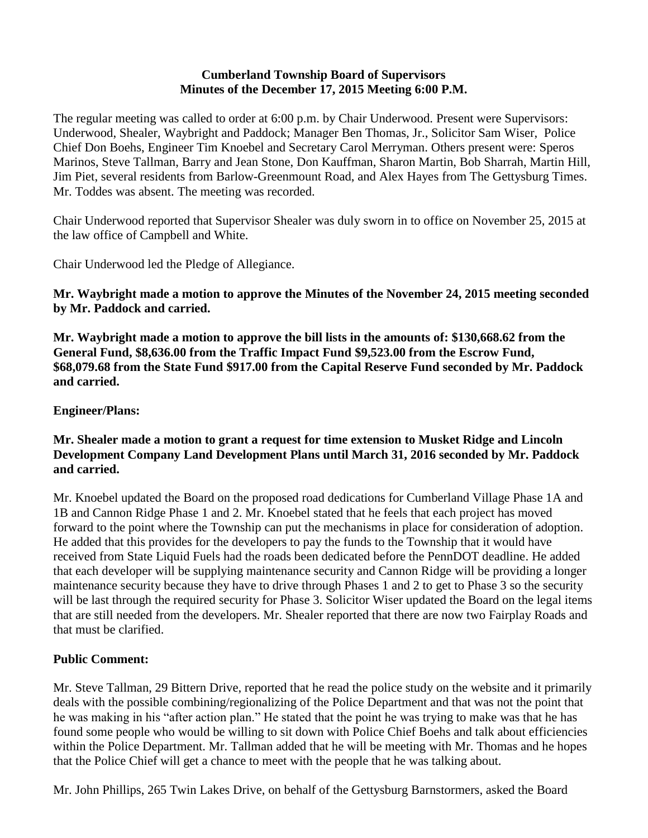#### **Cumberland Township Board of Supervisors Minutes of the December 17, 2015 Meeting 6:00 P.M.**

The regular meeting was called to order at 6:00 p.m. by Chair Underwood. Present were Supervisors: Underwood, Shealer, Waybright and Paddock; Manager Ben Thomas, Jr., Solicitor Sam Wiser, Police Chief Don Boehs, Engineer Tim Knoebel and Secretary Carol Merryman. Others present were: Speros Marinos, Steve Tallman, Barry and Jean Stone, Don Kauffman, Sharon Martin, Bob Sharrah, Martin Hill, Jim Piet, several residents from Barlow-Greenmount Road, and Alex Hayes from The Gettysburg Times. Mr. Toddes was absent. The meeting was recorded.

Chair Underwood reported that Supervisor Shealer was duly sworn in to office on November 25, 2015 at the law office of Campbell and White.

Chair Underwood led the Pledge of Allegiance.

**Mr. Waybright made a motion to approve the Minutes of the November 24, 2015 meeting seconded by Mr. Paddock and carried.**

**Mr. Waybright made a motion to approve the bill lists in the amounts of: \$130,668.62 from the General Fund, \$8,636.00 from the Traffic Impact Fund \$9,523.00 from the Escrow Fund, \$68,079.68 from the State Fund \$917.00 from the Capital Reserve Fund seconded by Mr. Paddock and carried.**

#### **Engineer/Plans:**

#### **Mr. Shealer made a motion to grant a request for time extension to Musket Ridge and Lincoln Development Company Land Development Plans until March 31, 2016 seconded by Mr. Paddock and carried.**

Mr. Knoebel updated the Board on the proposed road dedications for Cumberland Village Phase 1A and 1B and Cannon Ridge Phase 1 and 2. Mr. Knoebel stated that he feels that each project has moved forward to the point where the Township can put the mechanisms in place for consideration of adoption. He added that this provides for the developers to pay the funds to the Township that it would have received from State Liquid Fuels had the roads been dedicated before the PennDOT deadline. He added that each developer will be supplying maintenance security and Cannon Ridge will be providing a longer maintenance security because they have to drive through Phases 1 and 2 to get to Phase 3 so the security will be last through the required security for Phase 3. Solicitor Wiser updated the Board on the legal items that are still needed from the developers. Mr. Shealer reported that there are now two Fairplay Roads and that must be clarified.

#### **Public Comment:**

Mr. Steve Tallman, 29 Bittern Drive, reported that he read the police study on the website and it primarily deals with the possible combining/regionalizing of the Police Department and that was not the point that he was making in his "after action plan." He stated that the point he was trying to make was that he has found some people who would be willing to sit down with Police Chief Boehs and talk about efficiencies within the Police Department. Mr. Tallman added that he will be meeting with Mr. Thomas and he hopes that the Police Chief will get a chance to meet with the people that he was talking about.

Mr. John Phillips, 265 Twin Lakes Drive, on behalf of the Gettysburg Barnstormers, asked the Board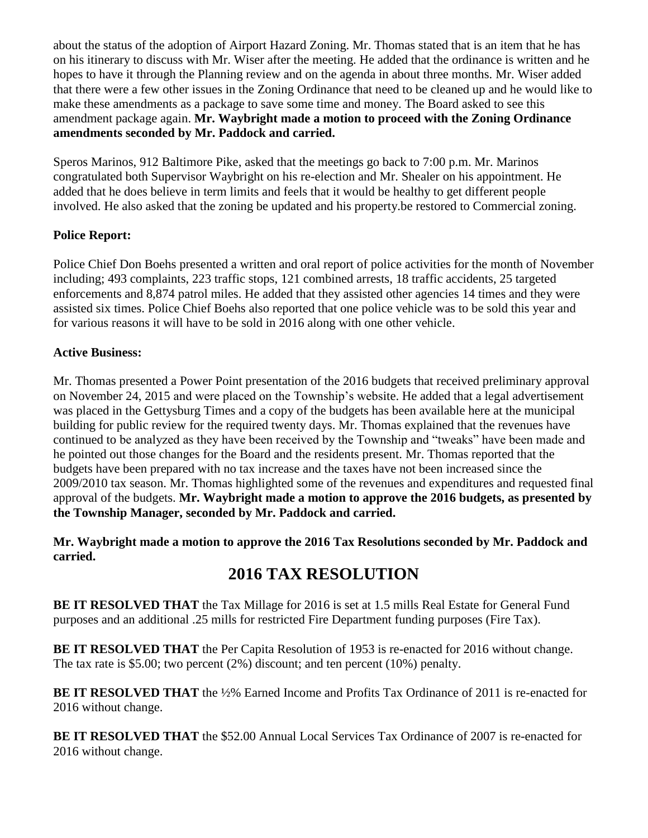about the status of the adoption of Airport Hazard Zoning. Mr. Thomas stated that is an item that he has on his itinerary to discuss with Mr. Wiser after the meeting. He added that the ordinance is written and he hopes to have it through the Planning review and on the agenda in about three months. Mr. Wiser added that there were a few other issues in the Zoning Ordinance that need to be cleaned up and he would like to make these amendments as a package to save some time and money. The Board asked to see this amendment package again. **Mr. Waybright made a motion to proceed with the Zoning Ordinance amendments seconded by Mr. Paddock and carried.**

Speros Marinos, 912 Baltimore Pike, asked that the meetings go back to 7:00 p.m. Mr. Marinos congratulated both Supervisor Waybright on his re-election and Mr. Shealer on his appointment. He added that he does believe in term limits and feels that it would be healthy to get different people involved. He also asked that the zoning be updated and his property.be restored to Commercial zoning.

## **Police Report:**

Police Chief Don Boehs presented a written and oral report of police activities for the month of November including; 493 complaints, 223 traffic stops, 121 combined arrests, 18 traffic accidents, 25 targeted enforcements and 8,874 patrol miles. He added that they assisted other agencies 14 times and they were assisted six times. Police Chief Boehs also reported that one police vehicle was to be sold this year and for various reasons it will have to be sold in 2016 along with one other vehicle.

#### **Active Business:**

Mr. Thomas presented a Power Point presentation of the 2016 budgets that received preliminary approval on November 24, 2015 and were placed on the Township's website. He added that a legal advertisement was placed in the Gettysburg Times and a copy of the budgets has been available here at the municipal building for public review for the required twenty days. Mr. Thomas explained that the revenues have continued to be analyzed as they have been received by the Township and "tweaks" have been made and he pointed out those changes for the Board and the residents present. Mr. Thomas reported that the budgets have been prepared with no tax increase and the taxes have not been increased since the 2009/2010 tax season. Mr. Thomas highlighted some of the revenues and expenditures and requested final approval of the budgets. **Mr. Waybright made a motion to approve the 2016 budgets, as presented by the Township Manager, seconded by Mr. Paddock and carried.**

#### **Mr. Waybright made a motion to approve the 2016 Tax Resolutions seconded by Mr. Paddock and carried.**

# **2016 TAX RESOLUTION**

**BE IT RESOLVED THAT** the Tax Millage for 2016 is set at 1.5 mills Real Estate for General Fund purposes and an additional .25 mills for restricted Fire Department funding purposes (Fire Tax).

**BE IT RESOLVED THAT** the Per Capita Resolution of 1953 is re-enacted for 2016 without change. The tax rate is \$5.00; two percent (2%) discount; and ten percent (10%) penalty.

**BE IT RESOLVED THAT** the ½% Earned Income and Profits Tax Ordinance of 2011 is re-enacted for 2016 without change.

**BE IT RESOLVED THAT** the \$52.00 Annual Local Services Tax Ordinance of 2007 is re-enacted for 2016 without change.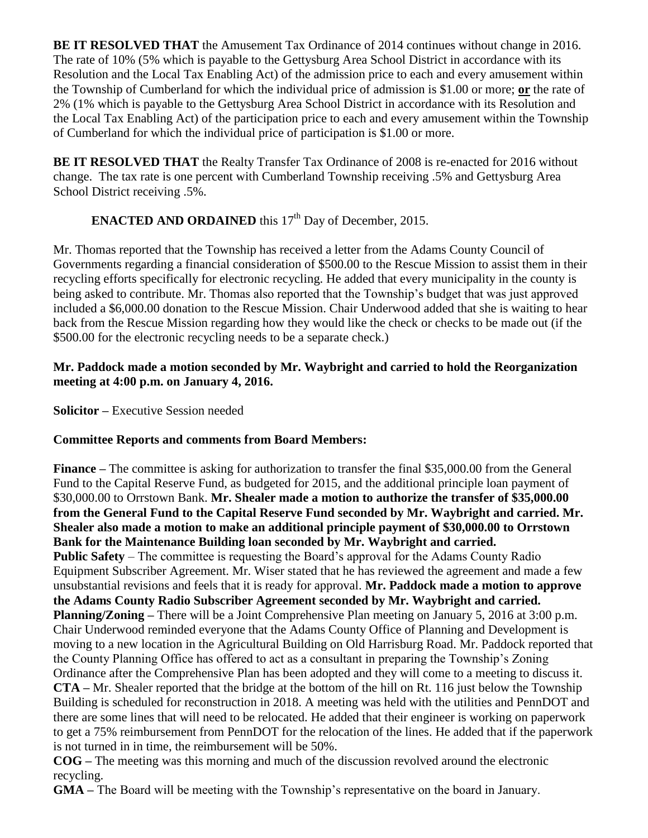**BE IT RESOLVED THAT** the Amusement Tax Ordinance of 2014 continues without change in 2016. The rate of 10% (5% which is payable to the Gettysburg Area School District in accordance with its Resolution and the Local Tax Enabling Act) of the admission price to each and every amusement within the Township of Cumberland for which the individual price of admission is \$1.00 or more; **or** the rate of 2% (1% which is payable to the Gettysburg Area School District in accordance with its Resolution and the Local Tax Enabling Act) of the participation price to each and every amusement within the Township of Cumberland for which the individual price of participation is \$1.00 or more.

**BE IT RESOLVED THAT** the Realty Transfer Tax Ordinance of 2008 is re-enacted for 2016 without change. The tax rate is one percent with Cumberland Township receiving .5% and Gettysburg Area School District receiving .5%.

# **ENACTED AND ORDAINED** this 17<sup>th</sup> Day of December, 2015.

Mr. Thomas reported that the Township has received a letter from the Adams County Council of Governments regarding a financial consideration of \$500.00 to the Rescue Mission to assist them in their recycling efforts specifically for electronic recycling. He added that every municipality in the county is being asked to contribute. Mr. Thomas also reported that the Township's budget that was just approved included a \$6,000.00 donation to the Rescue Mission. Chair Underwood added that she is waiting to hear back from the Rescue Mission regarding how they would like the check or checks to be made out (if the \$500.00 for the electronic recycling needs to be a separate check.)

#### **Mr. Paddock made a motion seconded by Mr. Waybright and carried to hold the Reorganization meeting at 4:00 p.m. on January 4, 2016.**

**Solicitor –** Executive Session needed

## **Committee Reports and comments from Board Members:**

**Finance –** The committee is asking for authorization to transfer the final \$35,000.00 from the General Fund to the Capital Reserve Fund, as budgeted for 2015, and the additional principle loan payment of \$30,000.00 to Orrstown Bank. **Mr. Shealer made a motion to authorize the transfer of \$35,000.00 from the General Fund to the Capital Reserve Fund seconded by Mr. Waybright and carried. Mr. Shealer also made a motion to make an additional principle payment of \$30,000.00 to Orrstown Bank for the Maintenance Building loan seconded by Mr. Waybright and carried. Public Safety** – The committee is requesting the Board's approval for the Adams County Radio Equipment Subscriber Agreement. Mr. Wiser stated that he has reviewed the agreement and made a few unsubstantial revisions and feels that it is ready for approval. **Mr. Paddock made a motion to approve the Adams County Radio Subscriber Agreement seconded by Mr. Waybright and carried. Planning/Zoning –** There will be a Joint Comprehensive Plan meeting on January 5, 2016 at 3:00 p.m. Chair Underwood reminded everyone that the Adams County Office of Planning and Development is moving to a new location in the Agricultural Building on Old Harrisburg Road. Mr. Paddock reported that the County Planning Office has offered to act as a consultant in preparing the Township's Zoning Ordinance after the Comprehensive Plan has been adopted and they will come to a meeting to discuss it. **CTA –** Mr. Shealer reported that the bridge at the bottom of the hill on Rt. 116 just below the Township Building is scheduled for reconstruction in 2018. A meeting was held with the utilities and PennDOT and there are some lines that will need to be relocated. He added that their engineer is working on paperwork to get a 75% reimbursement from PennDOT for the relocation of the lines. He added that if the paperwork is not turned in in time, the reimbursement will be 50%.

**COG –** The meeting was this morning and much of the discussion revolved around the electronic recycling.

**GMA –** The Board will be meeting with the Township's representative on the board in January.